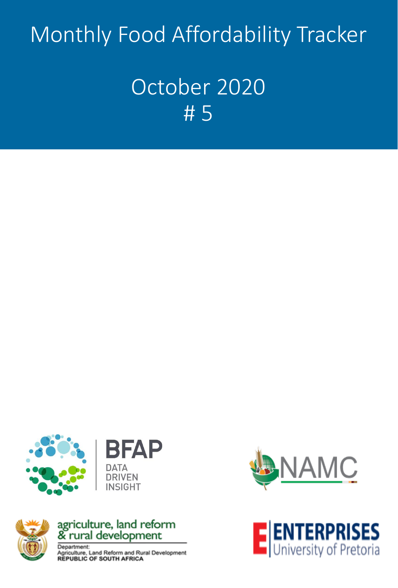# Monthly Food Affordability Tracker

## October 2020 # 5





## agriculture, land reform<br>& rural development

Department: Agriculture, Land Reform and Rural Development<br>REPUBLIC OF SOUTH AFRICA



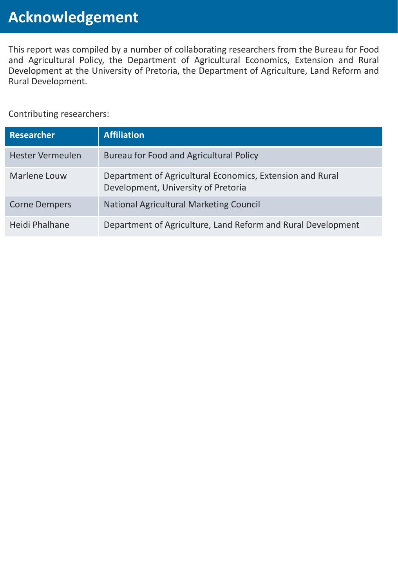This report was compiled by a number of collaborating researchers from the Bureau for Food and Agricultural Policy, the Department of Agricultural Economics, Extension and Rural Development at the University of Pretoria, the Department of Agriculture, Land Reform and Rural Development.

Contributing researchers:

| <b>Researcher</b>       | <b>Affiliation</b>                                                                               |
|-------------------------|--------------------------------------------------------------------------------------------------|
| <b>Hester Vermeulen</b> | Bureau for Food and Agricultural Policy                                                          |
| Marlene Louw            | Department of Agricultural Economics, Extension and Rural<br>Development, University of Pretoria |
| <b>Corne Dempers</b>    | <b>National Agricultural Marketing Council</b>                                                   |
| Heidi Phalhane          | Department of Agriculture, Land Reform and Rural Development                                     |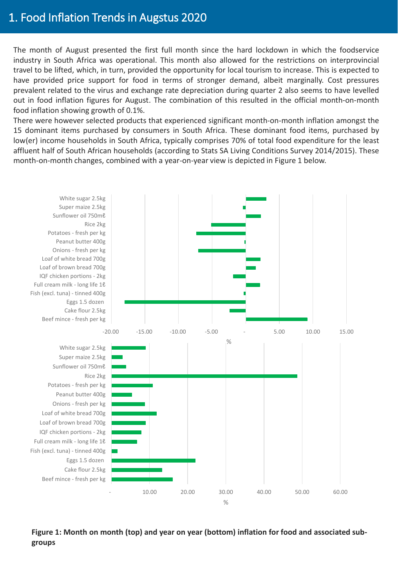### 1. Food Inflation Trends in Augstus 2020

The month of August presented the first full month since the hard lockdown in which the foodservice industry in South Africa was operational. This month also allowed for the restrictions on interprovincial travel to be lifted, which, in turn, provided the opportunity for local tourism to increase. This is expected to have provided price support for food in terms of stronger demand, albeit marginally. Cost pressures prevalent related to the virus and exchange rate depreciation during quarter 2 also seems to have levelled out in food inflation figures for August. The combination of this resulted in the official month-on-month food inflation showing growth of 0.1%.

There were however selected products that experienced significant month-on-month inflation amongst the 15 dominant items purchased by consumers in South Africa. These dominant food items, purchased by low(er) income households in South Africa, typically comprises 70% of total food expenditure for the least affluent half of South African households (according to Stats SA Living Conditions Survey 2014/2015). These month-on-month changes, combined with a year-on-year view is depicted in Figure 1 below.



**Figure 1: Month on month (top) and year on year (bottom) inflation for food and associated subgroups**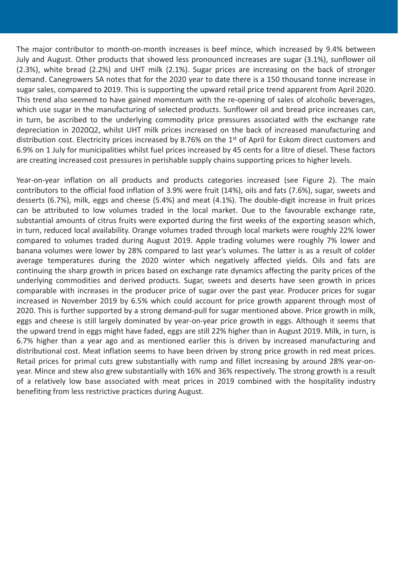The major contributor to month-on-month increases is beef mince, which increased by 9.4% between July and August. Other products that showed less pronounced increases are sugar (3.1%), sunflower oil (2.3%), white bread (2.2%) and UHT milk (2.1%). Sugar prices are increasing on the back of stronger demand. Canegrowers SA notes that for the 2020 year to date there is a 150 thousand tonne increase in sugar sales, compared to 2019. This is supporting the upward retail price trend apparent from April 2020. This trend also seemed to have gained momentum with the re-opening of sales of alcoholic beverages, which use sugar in the manufacturing of selected products. Sunflower oil and bread price increases can, in turn, be ascribed to the underlying commodity price pressures associated with the exchange rate depreciation in 2020Q2, whilst UHT milk prices increased on the back of increased manufacturing and distribution cost. Electricity prices increased by 8.76% on the 1<sup>st</sup> of April for Eskom direct customers and 6.9% on 1 July for municipalities whilst fuel prices increased by 45 cents for a litre of diesel. These factors are creating increased cost pressures in perishable supply chains supporting prices to higher levels.

Year-on-year inflation on all products and products categories increased (see Figure 2). The main contributors to the official food inflation of 3.9% were fruit (14%), oils and fats (7.6%), sugar, sweets and desserts (6.7%), milk, eggs and cheese (5.4%) and meat (4.1%). The double-digit increase in fruit prices can be attributed to low volumes traded in the local market. Due to the favourable exchange rate, substantial amounts of citrus fruits were exported during the first weeks of the exporting season which, in turn, reduced local availability. Orange volumes traded through local markets were roughly 22% lower compared to volumes traded during August 2019. Apple trading volumes were roughly 7% lower and banana volumes were lower by 28% compared to last year's volumes. The latter is as a result of colder average temperatures during the 2020 winter which negatively affected yields. Oils and fats are continuing the sharp growth in prices based on exchange rate dynamics affecting the parity prices of the underlying commodities and derived products. Sugar, sweets and deserts have seen growth in prices comparable with increases in the producer price of sugar over the past year. Producer prices for sugar increased in November 2019 by 6.5% which could account for price growth apparent through most of 2020. This is further supported by a strong demand-pull for sugar mentioned above. Price growth in milk, eggs and cheese is still largely dominated by year-on-year price growth in eggs. Although it seems that the upward trend in eggs might have faded, eggs are still 22% higher than in August 2019. Milk, in turn, is 6.7% higher than a year ago and as mentioned earlier this is driven by increased manufacturing and distributional cost. Meat inflation seems to have been driven by strong price growth in red meat prices. Retail prices for primal cuts grew substantially with rump and fillet increasing by around 28% year-onyear. Mince and stew also grew substantially with 16% and 36% respectively. The strong growth is a result of a relatively low base associated with meat prices in 2019 combined with the hospitality industry benefiting from less restrictive practices during August.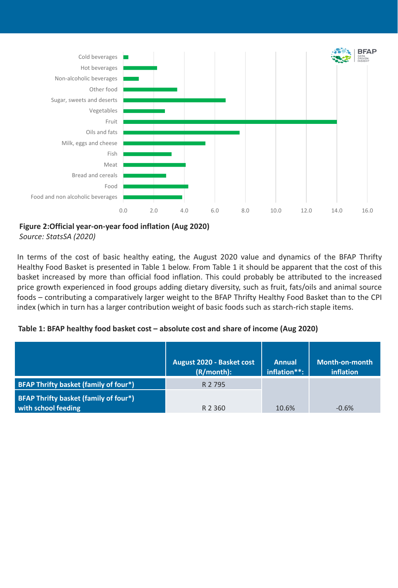

**Figure 2:Official year-on-year food inflation (Aug 2020)** *Source: StatsSA (2020)*

In terms of the cost of basic healthy eating, the August 2020 value and dynamics of the BFAP Thrifty Healthy Food Basket is presented in Table 1 below. From Table 1 it should be apparent that the cost of this basket increased by more than official food inflation. This could probably be attributed to the increased price growth experienced in food groups adding dietary diversity, such as fruit, fats/oils and animal source foods – contributing a comparatively larger weight to the BFAP Thrifty Healthy Food Basket than to the CPI index (which in turn has a larger contribution weight of basic foods such as starch-rich staple items.

#### **Table 1: BFAP healthy food basket cost – absolute cost and share of income (Aug 2020)**

|                                                              | <b>August 2020 - Basket cost</b><br>(R/month): | <b>Annual</b><br>inflation**: | Month-on-month<br>inflation |
|--------------------------------------------------------------|------------------------------------------------|-------------------------------|-----------------------------|
| BFAP Thrifty basket (family of four*)                        | R 2 795                                        |                               |                             |
| BFAP Thrifty basket (family of four*)<br>with school feeding | R 2 3 6 0                                      | 10.6%                         | $-0.6%$                     |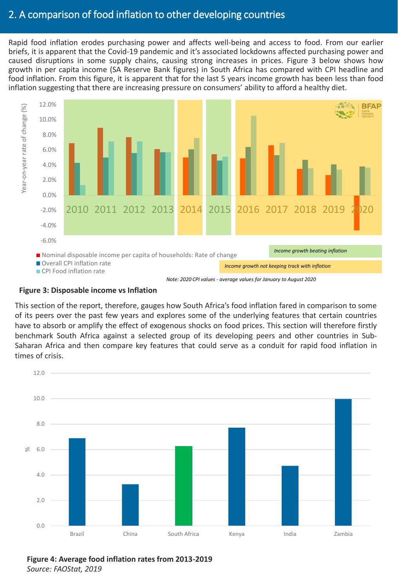### 2. A comparison of food inflation to other developing countries

Rapid food inflation erodes purchasing power and affects well-being and access to food. From our earlier briefs, it is apparent that the Covid-19 pandemic and it's associated lockdowns affected purchasing power and caused disruptions in some supply chains, causing strong increases in prices. Figure 3 below shows how growth in per capita income (SA Reserve Bank figures) in South Africa has compared with CPI headline and food inflation. From this figure, it is apparent that for the last 5 years income growth has been less than food inflation suggesting that there are increasing pressure on consumers' ability to afford a healthy diet.



#### **Figure 3: Disposable income vs Inflation**

This section of the report, therefore, gauges how South Africa's food inflation fared in comparison to some of its peers over the past few years and explores some of the underlying features that certain countries have to absorb or amplify the effect of exogenous shocks on food prices. This section will therefore firstly benchmark South Africa against a selected group of its developing peers and other countries in Sub-Saharan Africa and then compare key features that could serve as a conduit for rapid food inflation in times of crisis.



**Figure 4: Average food inflation rates from 2013-2019** *Source: FAOStat, 2019*